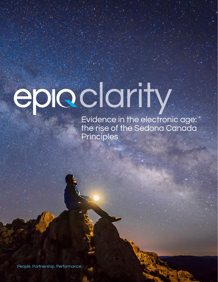# epic clarity

Evidence in the electronic age: the rise of the Sedona Canada Principles

People. Partnership. Performance.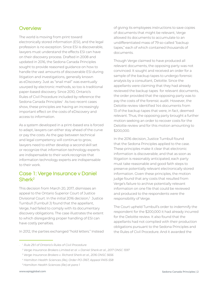# **Overview**

The world is moving from print toward electronically stored information (ESI), and the legal profession is no exception. Since ESI is discoverable, lawyers must understand the effects ESI can have on their discovery process. Drafted in 2008 and updated in 2016, the Sedona Canada Principles sought to provide reasoned guidance on how to handle the vast amounts of discoverable ESI during litigation and investigations, generally known as eDiscovery. Just as "snail mail" was eventually usurped by electronic methods, so too is traditional paper-based discovery. Since 2010, Ontario's Rules of Civil Procedure included by reference the Sedona Canada Principles<sup>1</sup> As two recent cases show, these principles are having an increasingly important effect on the costs of eDiscovery and access to information.

As a system developed in a print-based era is forced to adapt, lawyers can either stay ahead of the curve or pay the costs. As the gap between technical and legal competency will continue to grow, lawyers need to either develop a second skill set or recognize that information technology experts are indispensable to their work.recognize that information technology experts are indispensable to their work.

# Case 1: Verge Insurance v Daniel Sherk2

This decision from March 20, 2017, dismisses an appeal to the Ontario Superior Court of Justice Divisional Court. In the initial 2016 decision,<sup>3</sup> Justice Turnbull (Turnbull J) found that the appellant, Verge, had failed to comply with its documentary discovery obligations. The case illustrates the extent to which disregarding proper handling of ESI can have costly penalties.

In 2012, the parties exchanged "hold letters." Instead

of giving its employees instructions to save copies of documents that might be relevant, Verge allowed its documents to accumulate to an undifferentiated mass of 79 so-called "backup tapes," each of which contained thousands of documents.

Though Verge claimed to have produced all relevant documents, the opposing party was not convinced. It sought and received an order for a sample of the backup tapes to undergo forensic analysis by a consultant, Deloitte. Since the appellants were claiming that they had already reviewed the backup tapes for relevant documents, the order provided that the opposing party was to pay the costs of the forensic audit. However, the Deloitte review identified 144 documents from 13 of the backup tapes that were, in fact, deemed relevant. Thus, the opposing party brought a further motion seeking an order to recover costs for the Deloitte review and for this motion amounting to \$200,000.

In the 2016 decision, Justice Turnbull found that the Sedona Principles applied to the case. These principles make it clear that electronic information is discoverable; and that as soon as litigation is reasonably anticipated, each party must take reasonable and good faith steps to preserve potentially relevant electronically stored information. Given these principles, the motion judge found that any costs that resulted from Verge's failure to archive potentially relevant information on one file that could be reviewed and produced to the respondents were the responsibility of Verge.

The Court upheld Turnbull's order to indemnify the respondent for the \$200,000 it had already incurred for the Deloitte review. It also found that the appellants had not complied with their production obligations pursuant to the Sedona Principles and the Rules of Civil Procedure. And it awarded the

*<sup>•</sup> 1 Rule 29.1 of Ontario's Rules of Civil Procedure* 

*<sup>2</sup> Verge Insurance Brokers Limited et al. v Daniel Sherk et al., 2017 ONSC 1597* 

*<sup>3</sup> Verge Insurance Brokers v. Richard Sherk et al., 2016 ONSC 5656* 

*<sup>4</sup> Hamilton Health Sciences (Re), Order PO-3167, Appeal PA15-558* 

*<sup>5</sup> Hamilton Health Sciences (Re) at para 1*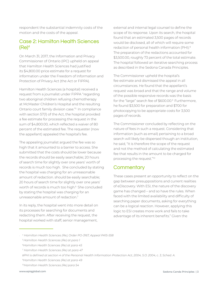respondent the substantial indemnity costs of the motion and the costs of the appeal.

### Case 2: Hamilton Health Sciences  $(Re)^4$

On March 31, 2017, the Information and Privacy Commissioner of Ontario (IPC) upheld on appeal that Hamilton Health Sciences had justified its \$4,800.00 price estimate for a request for information under the Freedom of Information and Protection of Privacy Act (the Act or FIPPA).

Hamilton Health Sciences (a hospital) received a request from a journalist under FIPPA "regarding two aboriginal children refusing chemotherapy at McMaster Children's Hospital and the resulting Ontario court family division case."5 In compliance with section 57(1) of the Act, the hospital provided a fee estimate for processing the request in the sum of \$4,800.00, which reflected a waiver of 80 percent of the estimated fee. The requester (now the appellant) appealed the hospital's fee.

The appealing journalist argued the fee was so high that it amounted to a barrier to access. She submitted that the costs should be lower because the records should be easily searchable; 20 hours of search time for slightly over one years' worth of records is much too high. She concluded by stating the hospital was charging for an unreasonable amount of redaction. should be easily searchable; 20 hours of search time for slightly over one years' worth of records is much too high.<sup>6</sup> She concluded by stating the hospital was charging for an unreasonable amount of redaction.7

In its reply, the hospital went into more detail on its processes for searching for documents and redacting them. After receiving the request, the hospital worked with staff, senior management,

external and internal legal counsel to define the scope of its response. Upon its search, the hospital found that an estimated 3,500 pages of records would be disclosed, all of which will require some redaction of personal health information (PHI).<sup>8</sup> The preparation of the redactions accounted for \$3,500.00, roughly 73 percent of the total estimate. The hospital followed an iterative searching process as described in the Sedona Canada Principles.

The Commissioner upheld the hospital's fee estimate and dismissed the appeal in all circumstances. He found that the appellant's request was broad and that the range and volume of the possible responsive records was the basis for the "large" search fee of \$600.00.9 Furthermore, he found \$3,500 for preparation and \$700 for photocopying to be appropriate costs for 3,500 pages of records.

The Commissioner concluded by reflecting on the nature of fees in such a request. Considering that information (such as email) pertaining to a broad search will likely be dispersed though an institution, he said, "It is therefore the scope of the request and not the method of calculating the estimated fee that results in the amount to be charged for processing the request."<sup>10</sup>

### **Commentary**

These cases present an opportunity to reflect on the gap between presuppositions and current realities of eDiscovery. With ESI, the nature of the discovery game has changed – and so have the rules. When faced with the limited availability and difficulty of searching paper documents, asking for everything can be a logical reaction. However, applying this logic to ESI creates more work and fails to take advantage of its inherent benefits." Given the

*<sup>•</sup> 4 Hamilton Health Sciences (Re), Order PO-3167, Appeal PA15-558* 

*<sup>5</sup> Hamilton Health Sciences (Re) at para 1*

*<sup>6</sup>Hamilton Health Sciences (Re) at para 45* 

*<sup>7</sup> Hamilton Health Sciences (Re) at para 47* 

*<sup>8</sup>PHI is defined at section 4 of the Personal Health Information Protection Act, 2004, S.O. 2004, c. 3, Sched. A.* 

*<sup>9</sup>Hamilton Health Sciences (Re) at para 49* 

*<sup>10</sup>Hamilton Health Sciences (Re) para 54*